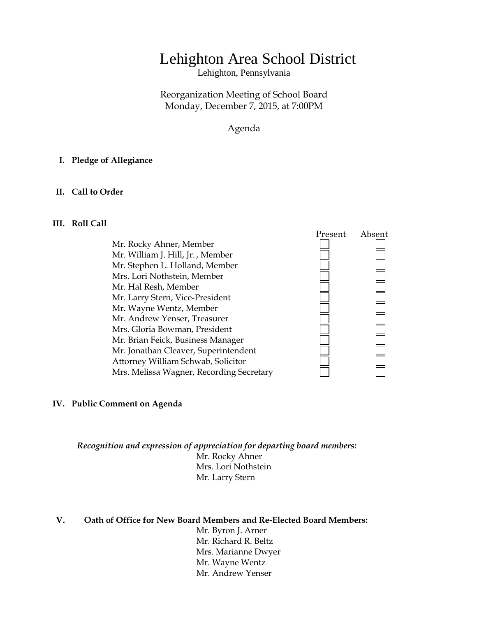# Lehighton Area School District

Lehighton, Pennsylvania

Reorganization Meeting of School Board Monday, December 7, 2015, at 7:00PM

Agenda

#### **I. Pledge of Allegiance**

#### **II. Call to Order**

#### **III. Roll Call**



#### **IV. Public Comment on Agenda**

*Recognition and expression of appreciation for departing board members:* Mr. Rocky Ahner Mrs. Lori Nothstein Mr. Larry Stern

**V. Oath of Office for New Board Members and Re-Elected Board Members:**

Mr. Byron J. Arner Mr. Richard R. Beltz Mrs. Marianne Dwyer Mr. Wayne Wentz Mr. Andrew Yenser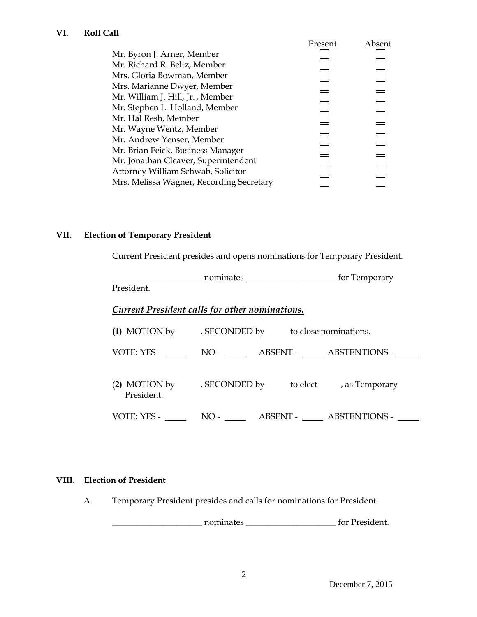Present Absent Mr. Byron J. Arner, Member Mr. Richard R. Beltz, Member Mrs. Gloria Bowman, Member Mrs. Marianne Dwyer, Member Mr. William J. Hill, Jr. , Member Mr. Stephen L. Holland, Member Mr. Hal Resh, Member Mr. Wayne Wentz, Member Mr. Andrew Yenser, Member Mr. Brian Feick, Business Manager Mr. Jonathan Cleaver, Superintendent Attorney William Schwab, Solicitor Mrs. Melissa Wagner, Recording Secretary

## **VII. Election of Temporary President**

Current President presides and opens nominations for Temporary President.

|             | nominates                                      | for Temporary                                       |  |
|-------------|------------------------------------------------|-----------------------------------------------------|--|
| President.  |                                                |                                                     |  |
|             | Current President calls for other nominations. |                                                     |  |
|             |                                                | (1) MOTION by , SECONDED by to close nominations.   |  |
| VOTE: YES - |                                                | NO- ABSENT- ABSTENTIONS-                            |  |
| President.  |                                                | (2) MOTION by , SECONDED by to elect , as Temporary |  |
| VOTE: YES - | $NO-$                                          | ABSENT - ABSTENTIONS -                              |  |

## **VIII. Election of President**

A. Temporary President presides and calls for nominations for President.

nominates \_\_\_\_\_\_\_\_\_\_\_\_\_\_\_\_\_\_\_\_\_\_\_\_\_\_\_ for President.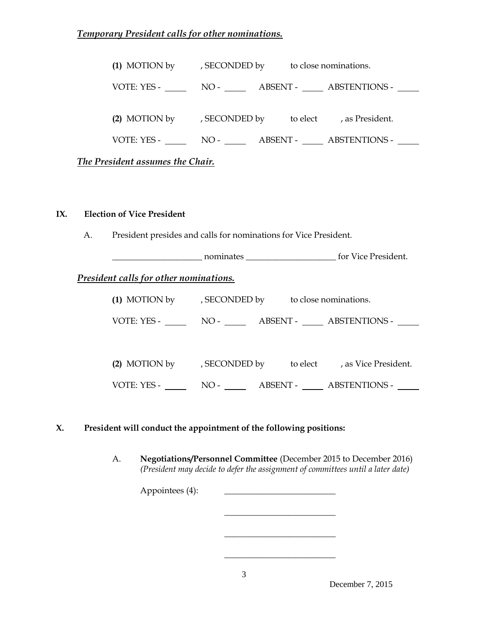# *Temporary President calls for other nominations.*

| (1) MOTION by , SECONDED by to close nominations.    |  |  |  |                                              |  |
|------------------------------------------------------|--|--|--|----------------------------------------------|--|
|                                                      |  |  |  | VOTE: YES - NO - NO - ABSENT - ABSTENTIONS - |  |
| (2) MOTION by , SECONDED by to elect , as President. |  |  |  |                                              |  |
|                                                      |  |  |  | VOTE: YES - NO - NO - ABSENT - ABSTENTIONS - |  |
| The President assumes the Chair.                     |  |  |  |                                              |  |

## **IX. Election of Vice President**

A. President presides and calls for nominations for Vice President.

\_\_\_\_\_\_\_\_\_\_\_\_\_\_\_\_\_\_\_\_\_ nominates \_\_\_\_\_\_\_\_\_\_\_\_\_\_\_\_\_\_\_\_\_ for Vice President.

## *President calls for other nominations.*

|               | (1) MOTION by , SECONDED by to close nominations. |          |                        |  |
|---------------|---------------------------------------------------|----------|------------------------|--|
|               |                                                   |          |                        |  |
|               |                                                   |          |                        |  |
|               |                                                   |          |                        |  |
| (2) MOTION by | , SECONDED by                                     | to elect | , as Vice President.   |  |
| VOTE: YES -   | $NO-$                                             |          | ABSENT - ABSTENTIONS - |  |

## **X. President will conduct the appointment of the following positions:**

A. **Negotiations/Personnel Committee** (December 2015 to December 2016) *(President may decide to defer the assignment of committees until a later date)*

\_\_\_\_\_\_\_\_\_\_\_\_\_\_\_\_\_\_\_\_\_\_\_\_\_\_

\_\_\_\_\_\_\_\_\_\_\_\_\_\_\_\_\_\_\_\_\_\_\_\_\_\_

\_\_\_\_\_\_\_\_\_\_\_\_\_\_\_\_\_\_\_\_\_\_\_\_\_\_

Appointees (4):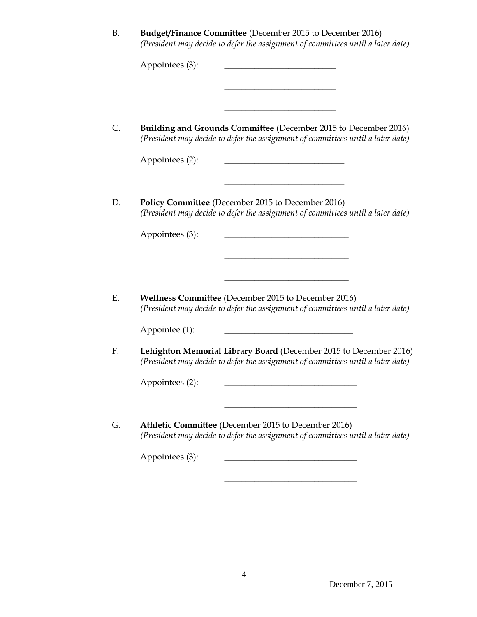| <b>B.</b> | <b>Budget/Finance Committee</b> (December 2015 to December 2016)<br>(President may decide to defer the assignment of committees until a later date)  |
|-----------|------------------------------------------------------------------------------------------------------------------------------------------------------|
|           | Appointees (3):                                                                                                                                      |
| C.        | Building and Grounds Committee (December 2015 to December 2016)<br>(President may decide to defer the assignment of committees until a later date)   |
|           | Appointees (2):                                                                                                                                      |
| D.        | Policy Committee (December 2015 to December 2016)<br>(President may decide to defer the assignment of committees until a later date)                 |
|           | Appointees (3):                                                                                                                                      |
| Ε.        | Wellness Committee (December 2015 to December 2016)                                                                                                  |
|           | (President may decide to defer the assignment of committees until a later date)<br>Appointee (1):                                                    |
| F.        | Lehighton Memorial Library Board (December 2015 to December 2016)<br>(President may decide to defer the assignment of committees until a later date) |
|           | Appointees (2):                                                                                                                                      |
| G.        | Athletic Committee (December 2015 to December 2016)<br>(President may decide to defer the assignment of committees until a later date)               |
|           | Appointees (3):                                                                                                                                      |
|           |                                                                                                                                                      |

\_\_\_\_\_\_\_\_\_\_\_\_\_\_\_\_\_\_\_\_\_\_\_\_\_\_\_\_\_\_\_\_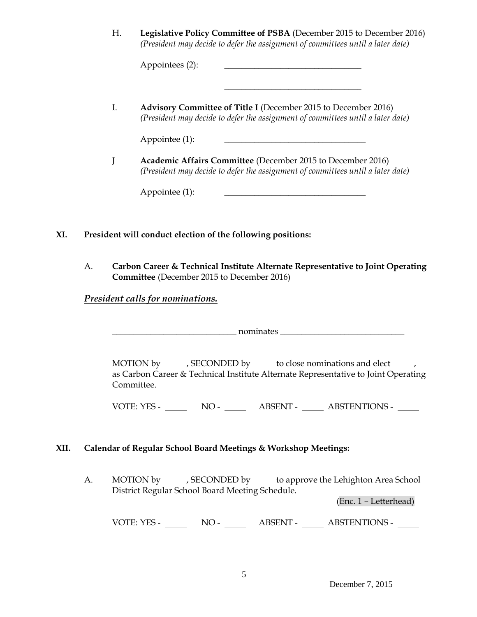H. **Legislative Policy Committee of PSBA** (December 2015 to December 2016) *(President may decide to defer the assignment of committees until a later date)*

\_\_\_\_\_\_\_\_\_\_\_\_\_\_\_\_\_\_\_\_\_\_\_\_\_\_\_\_\_\_\_\_

Appointees (2):

I. **Advisory Committee of Title I** (December 2015 to December 2016) *(President may decide to defer the assignment of committees until a later date)*

Appointee (1): \_\_\_\_\_\_\_\_\_\_\_\_\_\_\_\_\_\_\_\_\_\_\_\_\_\_\_\_\_\_\_\_\_

J **Academic Affairs Committee** (December 2015 to December 2016) *(President may decide to defer the assignment of committees until a later date)*

Appointee (1): \_\_\_\_\_\_\_\_\_\_\_\_\_\_\_\_\_\_\_\_\_\_\_\_\_\_\_\_\_\_\_\_\_

- **XI. President will conduct election of the following positions:**
	- A. **Carbon Career & Technical Institute Alternate Representative to Joint Operating Committee** (December 2015 to December 2016)

## *President calls for nominations.*

\_\_\_\_\_\_\_\_\_\_\_\_\_\_\_\_\_\_\_\_\_\_\_\_\_\_\_\_\_ nominates \_\_\_\_\_\_\_\_\_\_\_\_\_\_\_\_\_\_\_\_\_\_\_\_\_\_\_\_\_

MOTION by , SECONDED by to close nominations and elect as Carbon Career & Technical Institute Alternate Representative to Joint Operating Committee.

VOTE: YES - NO - NO - ABSENT - ABSTENTIONS -

## **XII. Calendar of Regular School Board Meetings & Workshop Meetings:**

A. MOTION by , SECONDED by to approve the Lehighton Area School District Regular School Board Meeting Schedule.

(Enc. 1 – Letterhead)

VOTE: YES - NO - NO - ABSENT - ABSTENTIONS -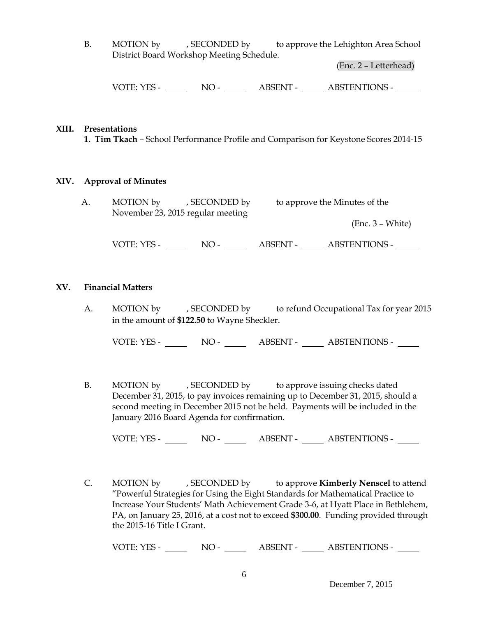B. MOTION by , SECONDED by to approve the Lehighton Area School District Board Workshop Meeting Schedule.

(Enc. 2 – Letterhead)

VOTE: YES - NO - NO - ABSENT - ABSTENTIONS -

#### **XIII. Presentations**

**1. Tim Tkach** – School Performance Profile and Comparison for Keystone Scores 2014-15

#### **XIV. Approval of Minutes**

| Α. | MOTION by | , SECONDED by                     | to approve the Minutes of the |
|----|-----------|-----------------------------------|-------------------------------|
|    |           | November 23, 2015 regular meeting |                               |
|    |           |                                   | $(Enc. 3 - White)$            |

VOTE: YES - NO - NO - NO - ABSENT - ABSTENTIONS - NO

#### **XV. Financial Matters**

A. MOTION by , SECONDED by to refund Occupational Tax for year 2015 in the amount of **\$122.50** to Wayne Sheckler.

VOTE: YES - NO - NO - ABSENT - ABSTENTIONS -

B. MOTION by , SECONDED by to approve issuing checks dated December 31, 2015, to pay invoices remaining up to December 31, 2015, should a second meeting in December 2015 not be held. Payments will be included in the January 2016 Board Agenda for confirmation.

VOTE: YES - NO - ABSENT - ABSTENTIONS -

C. MOTION by , SECONDED by to approve **Kimberly Nenscel** to attend "Powerful Strategies for Using the Eight Standards for Mathematical Practice to Increase Your Students' Math Achievement Grade 3-6, at Hyatt Place in Bethlehem, PA, on January 25, 2016, at a cost not to exceed **\$300.00**. Funding provided through the 2015-16 Title I Grant.

VOTE: YES - NO - NO - ABSENT - ABSTENTIONS -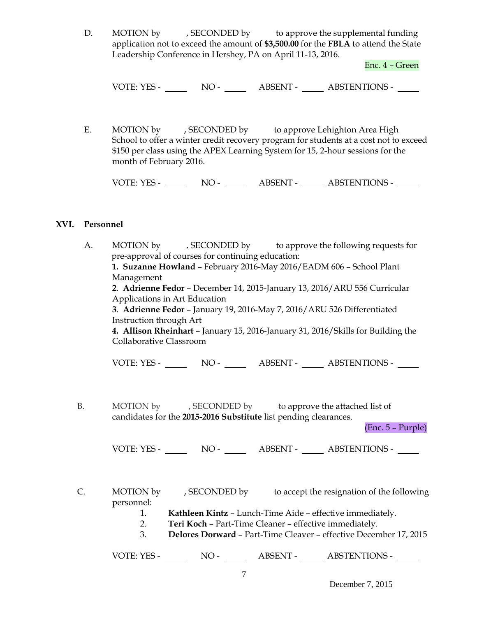D. MOTION by , SECONDED by to approve the supplemental funding application not to exceed the amount of **\$3,500.00** for the **FBLA** to attend the State Leadership Conference in Hershey, PA on April 11-13, 2016.

Enc. 4 – Green

VOTE: YES - NO - ABSENT - ABSTENTIONS -

E. MOTION by , SECONDED by to approve Lehighton Area High School to offer a winter credit recovery program for students at a cost not to exceed \$150 per class using the APEX Learning System for 15, 2-hour sessions for the month of February 2016.

VOTE: YES - NO - NO - ABSENT - ABSTENTIONS - NO

#### **XVI. Personnel**

| А. | MOTION by , SECONDED by to approve the following requests for                    |  |  |  |  |
|----|----------------------------------------------------------------------------------|--|--|--|--|
|    | pre-approval of courses for continuing education:                                |  |  |  |  |
|    | 1. Suzanne Howland - February 2016-May 2016/EADM 606 - School Plant              |  |  |  |  |
|    | Management                                                                       |  |  |  |  |
|    | 2. Adrienne Fedor - December 14, 2015-January 13, 2016/ARU 556 Curricular        |  |  |  |  |
|    | Applications in Art Education                                                    |  |  |  |  |
|    | 3. Adrienne Fedor - January 19, 2016-May 7, 2016/ARU 526 Differentiated          |  |  |  |  |
|    | Instruction through Art                                                          |  |  |  |  |
|    | 4. Allison Rheinhart - January 15, 2016-January 31, 2016/Skills for Building the |  |  |  |  |
|    | Collaborative Classroom                                                          |  |  |  |  |
|    |                                                                                  |  |  |  |  |
|    |                                                                                  |  |  |  |  |
|    |                                                                                  |  |  |  |  |
|    |                                                                                  |  |  |  |  |
|    |                                                                                  |  |  |  |  |
| В. | MOTION by , SECONDED by to approve the attached list of                          |  |  |  |  |
|    | candidates for the 2015-2016 Substitute list pending clearances.                 |  |  |  |  |
|    | (Enc. 5 – Purple)                                                                |  |  |  |  |
|    |                                                                                  |  |  |  |  |
|    |                                                                                  |  |  |  |  |
|    |                                                                                  |  |  |  |  |
|    |                                                                                  |  |  |  |  |
|    |                                                                                  |  |  |  |  |
| C. | MOTION by , SECONDED by to accept the resignation of the following               |  |  |  |  |
|    | personnel:                                                                       |  |  |  |  |
|    | Kathleen Kintz - Lunch-Time Aide - effective immediately.<br>1.                  |  |  |  |  |
|    | Teri Koch - Part-Time Cleaner - effective immediately.<br>2.                     |  |  |  |  |
|    | 3.<br>Delores Dorward - Part-Time Cleaver - effective December 17, 2015          |  |  |  |  |
|    |                                                                                  |  |  |  |  |

VOTE: YES - NO - NO - ABSENT - ABSTENTIONS -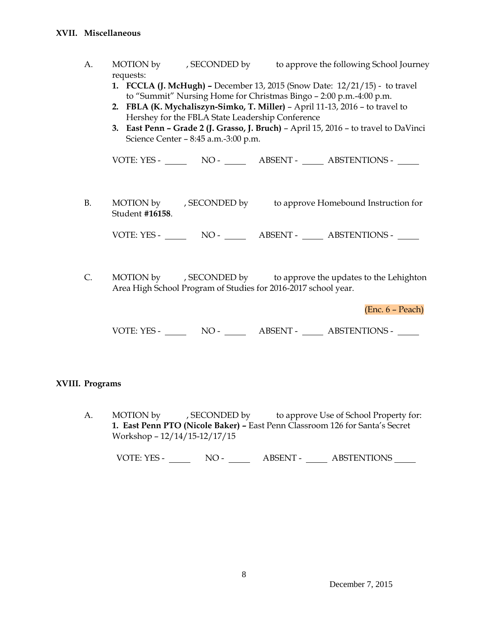- A. MOTION by , SECONDED by to approve the following School Journey requests:
	- **1. FCCLA (J. McHugh) –** December 13, 2015 (Snow Date: 12/21/15) to travel to "Summit" Nursing Home for Christmas Bingo – 2:00 p.m.-4:00 p.m.
	- **2. FBLA (K. Mychaliszyn-Simko, T. Miller)** April 11-13, 2016 to travel to Hershey for the FBLA State Leadership Conference
	- **3. East Penn – Grade 2 (J. Grasso, J. Bruch)** April 15, 2016 to travel to DaVinci Science Center – 8:45 a.m.-3:00 p.m.

VOTE: YES - NO - ABSENT - ABSTENTIONS -

B. MOTION by , SECONDED by to approve Homebound Instruction for Student **#16158**.

VOTE: YES - NO - NO - ABSENT - ABSTENTIONS -

C. MOTION by , SECONDED by to approve the updates to the Lehighton Area High School Program of Studies for 2016-2017 school year.

(Enc. 6 – Peach)

VOTE: YES - NO - NO - ABSENT - ABSTENTIONS -

## **XVIII. Programs**

A. MOTION by , SECONDED by to approve Use of School Property for: **1. East Penn PTO (Nicole Baker) –** East Penn Classroom 126 for Santa's Secret Workshop – 12/14/15-12/17/15

VOTE: YES - NO - NO - ABSENT - ABSTENTIONS